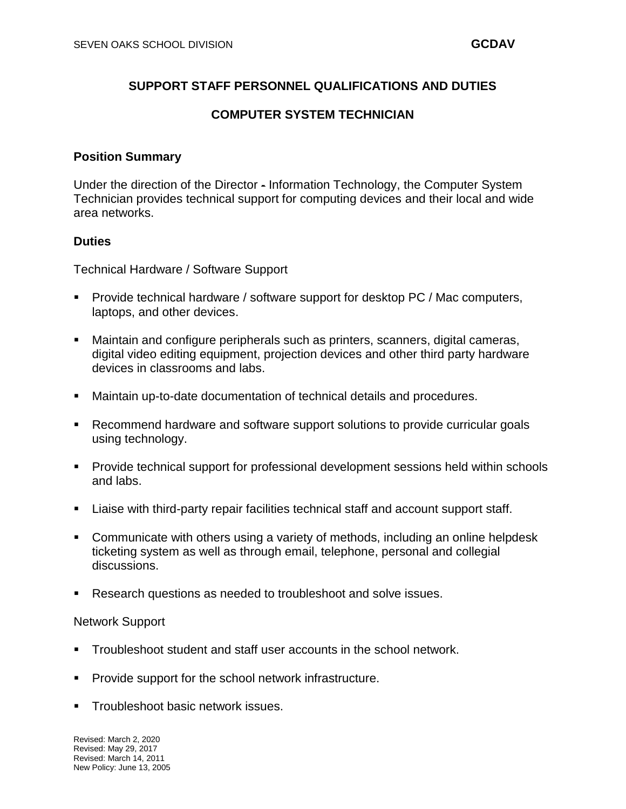# **SUPPORT STAFF PERSONNEL QUALIFICATIONS AND DUTIES**

# **COMPUTER SYSTEM TECHNICIAN**

## **Position Summary**

Under the direction of the Director - Information Technology, the Computer System Technician provides technical support for computing devices and their local and wide area networks.

## **Duties**

Technical Hardware / Software Support

- **Provide technical hardware / software support for desktop PC / Mac computers,** laptops, and other devices.
- Maintain and configure peripherals such as printers, scanners, digital cameras, digital video editing equipment, projection devices and other third party hardware devices in classrooms and labs.
- Maintain up-to-date documentation of technical details and procedures.
- Recommend hardware and software support solutions to provide curricular goals using technology.
- **Provide technical support for professional development sessions held within schools** and labs.
- Liaise with third-party repair facilities technical staff and account support staff.
- Communicate with others using a variety of methods, including an online helpdesk ticketing system as well as through email, telephone, personal and collegial discussions.
- Research questions as needed to troubleshoot and solve issues.

#### Network Support

- Troubleshoot student and staff user accounts in the school network.
- Provide support for the school network infrastructure.
- Troubleshoot basic network issues.